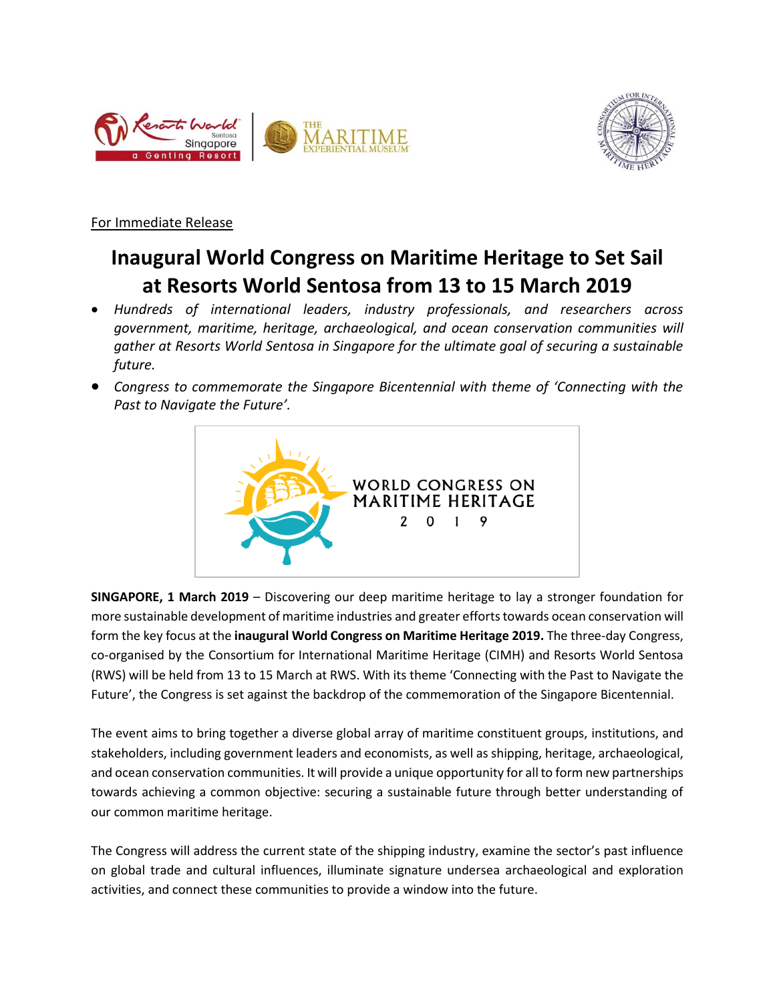



For Immediate Release

# **Inaugural World Congress on Maritime Heritage to Set Sail at Resorts World Sentosa from 13 to 15 March 2019**

- *Hundreds of international leaders, industry professionals, and researchers across government, maritime, heritage, archaeological, and ocean conservation communities will gather at Resorts World Sentosa in Singapore for the ultimate goal of securing a sustainable future.*
- *Congress to commemorate the Singapore Bicentennial with theme of 'Connecting with the Past to Navigate the Future'.*



**SINGAPORE, 1 March 2019** – Discovering our deep maritime heritage to lay a stronger foundation for more sustainable development of maritime industries and greater efforts towards ocean conservation will form the key focus at the **inaugural World Congress on Maritime Heritage 2019.** The three-day Congress, co-organised by the Consortium for International Maritime Heritage (CIMH) and Resorts World Sentosa (RWS) will be held from 13 to 15 March at RWS. With its theme 'Connecting with the Past to Navigate the Future', the Congress is set against the backdrop of the commemoration of the Singapore Bicentennial.

The event aims to bring together a diverse global array of maritime constituent groups, institutions, and stakeholders, including government leaders and economists, as well as shipping, heritage, archaeological, and ocean conservation communities. It will provide a unique opportunity for all to form new partnerships towards achieving a common objective: securing a sustainable future through better understanding of our common maritime heritage.

The Congress will address the current state of the shipping industry, examine the sector's past influence on global trade and cultural influences, illuminate signature undersea archaeological and exploration activities, and connect these communities to provide a window into the future.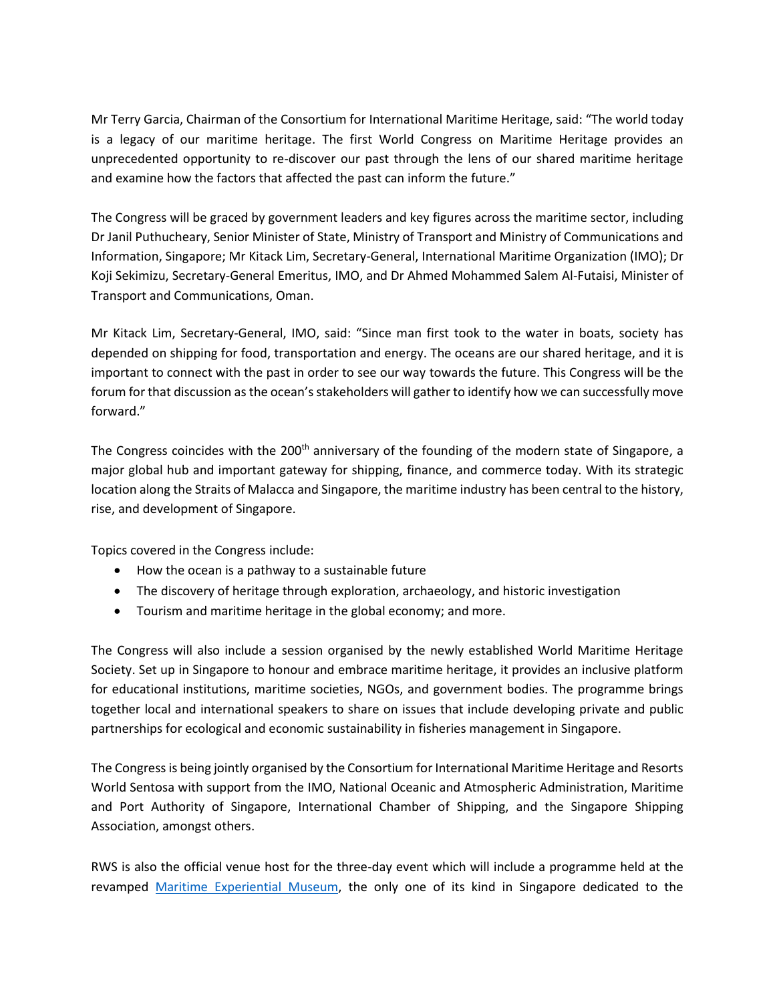Mr Terry Garcia, Chairman of the Consortium for International Maritime Heritage, said: "The world today is a legacy of our maritime heritage. The first World Congress on Maritime Heritage provides an unprecedented opportunity to re-discover our past through the lens of our shared maritime heritage and examine how the factors that affected the past can inform the future."

The Congress will be graced by government leaders and key figures across the maritime sector, including Dr Janil Puthucheary, Senior Minister of State, Ministry of Transport and Ministry of Communications and Information, Singapore; Mr Kitack Lim, Secretary-General, International Maritime Organization (IMO); Dr Koji Sekimizu, Secretary-General Emeritus, IMO, and Dr Ahmed Mohammed Salem Al-Futaisi, Minister of Transport and Communications, Oman.

Mr Kitack Lim, Secretary-General, IMO, said: "Since man first took to the water in boats, society has depended on shipping for food, transportation and energy. The oceans are our shared heritage, and it is important to connect with the past in order to see our way towards the future. This Congress will be the forum for that discussion as the ocean's stakeholders will gather to identify how we can successfully move forward."

The Congress coincides with the 200<sup>th</sup> anniversary of the founding of the modern state of Singapore, a major global hub and important gateway for shipping, finance, and commerce today. With its strategic location along the Straits of Malacca and Singapore, the maritime industry has been central to the history, rise, and development of Singapore.

Topics covered in the Congress include:

- How the ocean is a pathway to a sustainable future
- The discovery of heritage through exploration, archaeology, and historic investigation
- Tourism and maritime heritage in the global economy; and more.

The Congress will also include a session organised by the newly established World Maritime Heritage Society. Set up in Singapore to honour and embrace maritime heritage, it provides an inclusive platform for educational institutions, maritime societies, NGOs, and government bodies. The programme brings together local and international speakers to share on issues that include developing private and public partnerships for ecological and economic sustainability in fisheries management in Singapore.

The Congress is being jointly organised by the Consortium for International Maritime Heritage and Resorts World Sentosa with support from the IMO, National Oceanic and Atmospheric Administration, Maritime and Port Authority of Singapore, International Chamber of Shipping, and the Singapore Shipping Association, amongst others.

RWS is also the official venue host for the three-day event which will include a programme held at the revamped [Maritime Experiential Museum,](http://www.rwsentosa.com/mem) the only one of its kind in Singapore dedicated to the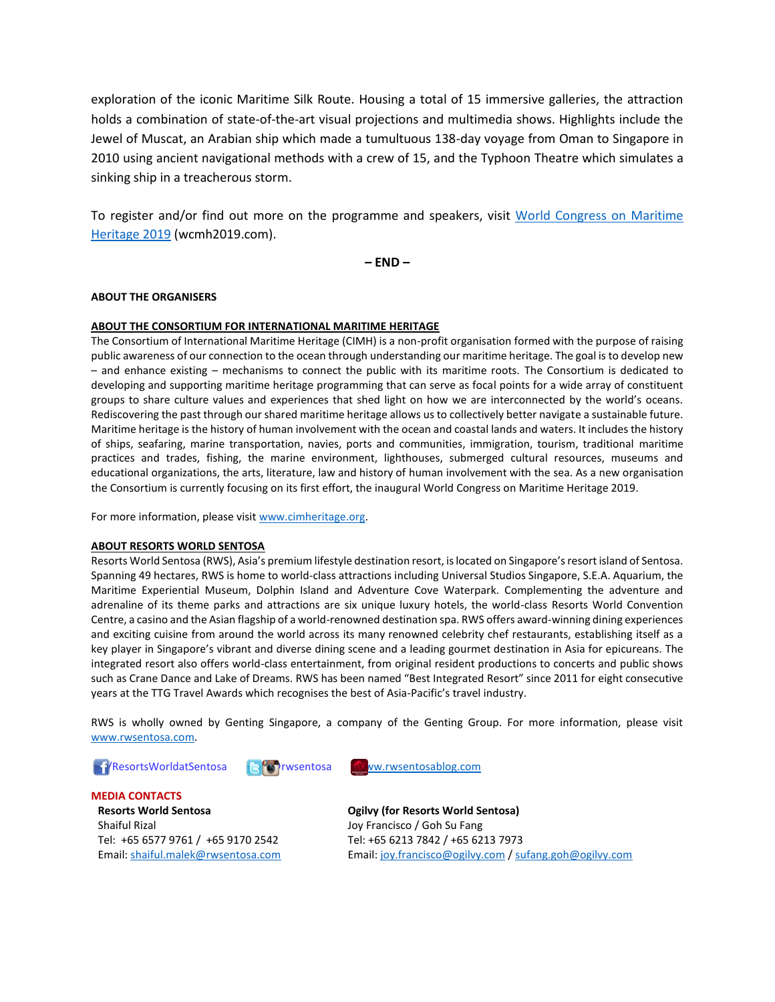exploration of the iconic Maritime Silk Route. Housing a total of 15 immersive galleries, the attraction holds a combination of state-of-the-art visual projections and multimedia shows. Highlights include the Jewel of Muscat, an Arabian ship which made a tumultuous 138-day voyage from Oman to Singapore in 2010 using ancient navigational methods with a crew of 15, and the Typhoon Theatre which simulates a sinking ship in a treacherous storm.

To register and/or find out more on the programme and speakers, visit [World Congress on Maritime](https://wcmh2019.com/)  [Heritage 2019](https://wcmh2019.com/) (wcmh2019.com).

**– END –**

## **ABOUT THE ORGANISERS**

### **ABOUT THE CONSORTIUM FOR INTERNATIONAL MARITIME HERITAGE**

The Consortium of International Maritime Heritage (CIMH) is a non-profit organisation formed with the purpose of raising public awareness of our connection to the ocean through understanding our maritime heritage. The goal is to develop new – and enhance existing – mechanisms to connect the public with its maritime roots. The Consortium is dedicated to developing and supporting maritime heritage programming that can serve as focal points for a wide array of constituent groups to share culture values and experiences that shed light on how we are interconnected by the world's oceans. Rediscovering the past through our shared maritime heritage allows us to collectively better navigate a sustainable future. Maritime heritage is the history of human involvement with the ocean and coastal lands and waters. It includes the history of ships, seafaring, marine transportation, navies, ports and communities, immigration, tourism, traditional maritime practices and trades, fishing, the marine environment, lighthouses, submerged cultural resources, museums and educational organizations, the arts, literature, law and history of human involvement with the sea. As a new organisation the Consortium is currently focusing on its first effort, the inaugural World Congress on Maritime Heritage 2019.

For more information, please visit [www.cimheritage.org.](http://www.cimheritage.org/)

### **ABOUT RESORTS WORLD SENTOSA**

Resorts World Sentosa (RWS), Asia's premium lifestyle destination resort, is located on Singapore's resort island of Sentosa. Spanning 49 hectares, RWS is home to world-class attractions including Universal Studios Singapore, S.E.A. Aquarium, the Maritime Experiential Museum, Dolphin Island and Adventure Cove Waterpark. Complementing the adventure and adrenaline of its theme parks and attractions are six unique luxury hotels, the world-class Resorts World Convention Centre, a casino and the Asian flagship of a world-renowned destination spa. RWS offers award-winning dining experiences and exciting cuisine from around the world across its many renowned celebrity chef restaurants, establishing itself as a key player in Singapore's vibrant and diverse dining scene and a leading gourmet destination in Asia for epicureans. The integrated resort also offers world-class entertainment, from original resident productions to concerts and public shows such as Crane Dance and Lake of Dreams. RWS has been named "Best Integrated Resort" since 2011 for eight consecutive years at the TTG Travel Awards which recognises the best of Asia-Pacific's travel industry.

RWS is wholly owned by Genting Singapore, a company of the Genting Group. For more information, please visit [www.rwsentosa.com.](http://www.rwsentosa.com/)





**MEDIA CONTACTS Resorts World Sentosa** Shaiful Rizal Tel: +65 6577 9761 / +65 9170 2542 Email[: shaiful.malek@rwsentosa.com](mailto:shaiful.malek@rwsentosa.com)

**Ogilvy (for Resorts World Sentosa)** Joy Francisco / Goh Su Fang Tel: +65 6213 7842 / +65 6213 7973 Email[: joy.francisco@ogilvy.com](mailto:joy.francisco@ogilvy.com) [/ sufang.goh@ogilvy.com](mailto:sufang.goh@ogilvy.com)